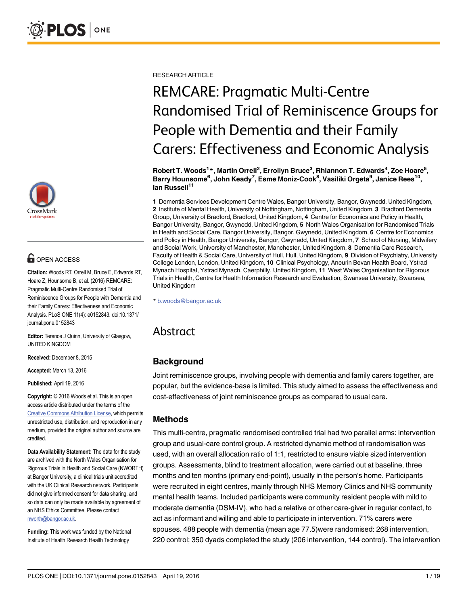

## **G** OPEN ACCESS

Citation: Woods RT, Orrell M, Bruce E, Edwards RT, Hoare Z, Hounsome B, et al. (2016) REMCARE: Pragmatic Multi-Centre Randomised Trial of Reminiscence Groups for People with Dementia and their Family Carers: Effectiveness and Economic Analysis. PLoS ONE 11(4): e0152843. doi:10.1371/ journal.pone.0152843

Editor: Terence J Quinn, University of Glasgow, UNITED KINGDOM

Received: December 8, 2015

Accepted: March 13, 2016

Published: April 19, 2016

Copyright: © 2016 Woods et al. This is an open access article distributed under the terms of the [Creative Commons Attribution License,](http://creativecommons.org/licenses/by/4.0/) which permits unrestricted use, distribution, and reproduction in any medium, provided the original author and source are credited.

Data Availability Statement: The data for the study are archived with the North Wales Organisation for Rigorous Trials in Health and Social Care (NWORTH) at Bangor University, a clinical trials unit accredited with the UK Clinical Research network. Participants did not give informed consent for data sharing, and so data can only be made available by agreement of an NHS Ethics Committee. Please contact nworth@bangor.ac.uk.

Funding: This work was funded by the National Institute of Health Research Health Technology

RESEARCH ARTICLE

# REMCARE: Pragmatic Multi-Centre Randomised Trial of Reminiscence Groups for People with Dementia and their Family Carers: Effectiveness and Economic Analysis

Robert T. Woods<sup>1</sup>\*, Martin Orrell<sup>2</sup>, Errollyn Bruce<sup>3</sup>, Rhiannon T. Edwards<sup>4</sup>, Zoe Hoare<sup>5</sup>, Barry Hounsome<sup>6</sup>, John Keady<sup>7</sup>, Esme Moniz-Cook<sup>8</sup>, Vasiliki Orgeta<sup>9</sup>, Janice Rees<sup>10</sup>,  $lan$  Russell $11$ 

1 Dementia Services Development Centre Wales, Bangor University, Bangor, Gwynedd, United Kingdom, 2 Institute of Mental Health, University of Nottingham, Nottingham, United Kingdom, 3 Bradford Dementia Group, University of Bradford, Bradford, United Kingdom, 4 Centre for Economics and Policy in Health, Bangor University, Bangor, Gwynedd, United Kingdom, 5 North Wales Organisation for Randomised Trials in Health and Social Care, Bangor University, Bangor, Gwynedd, United Kingdom, 6 Centre for Economics and Policy in Health, Bangor University, Bangor, Gwynedd, United Kingdom, 7 School of Nursing, Midwifery and Social Work, University of Manchester, Manchester, United Kingdom, 8 Dementia Care Research, Faculty of Health & Social Care, University of Hull, Hull, United Kingdom, 9 Division of Psychiatry, University College London, London, United Kingdom, 10 Clinical Psychology, Aneurin Bevan Health Board, Ystrad Mynach Hospital, Ystrad Mynach, Caerphilly, United Kingdom, 11 West Wales Organisation for Rigorous Trials in Health, Centre for Health Information Research and Evaluation, Swansea University, Swansea, United Kingdom

\* b.woods@bangor.ac.uk

## Abstract

## Background

Joint reminiscence groups, involving people with dementia and family carers together, are popular, but the evidence-base is limited. This study aimed to assess the effectiveness and cost-effectiveness of joint reminiscence groups as compared to usual care.

## Methods

This multi-centre, pragmatic randomised controlled trial had two parallel arms: intervention group and usual-care control group. A restricted dynamic method of randomisation was used, with an overall allocation ratio of 1:1, restricted to ensure viable sized intervention groups. Assessments, blind to treatment allocation, were carried out at baseline, three months and ten months (primary end-point), usually in the person's home. Participants were recruited in eight centres, mainly through NHS Memory Clinics and NHS community mental health teams. Included participants were community resident people with mild to moderate dementia (DSM-IV), who had a relative or other care-giver in regular contact, to act as informant and willing and able to participate in intervention. 71% carers were spouses. 488 people with dementia (mean age 77.5)were randomised: 268 intervention, 220 control; 350 dyads completed the study (206 intervention, 144 control). The intervention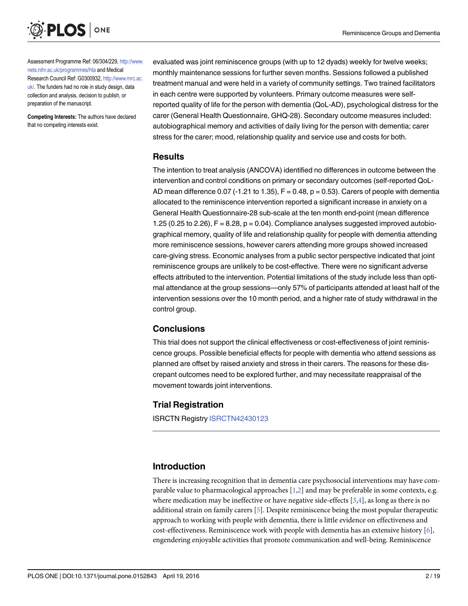<span id="page-1-0"></span>

Assessment Programme Ref: 06/304/229, [http://www.](http://www.nets.nihr.ac.uk/programmes/hta) [nets.nihr.ac.uk/programmes/hta](http://www.nets.nihr.ac.uk/programmes/hta) and Medical Research Council Ref: G0300932, [http://www.mrc.ac.](http://www.mrc.ac.uk/) [uk/.](http://www.mrc.ac.uk/) The funders had no role in study design, data collection and analysis, decision to publish, or preparation of the manuscript.

Competing Interests: The authors have declared that no competing interests exist.

evaluated was joint reminiscence groups (with up to 12 dyads) weekly for twelve weeks; monthly maintenance sessions for further seven months. Sessions followed a published treatment manual and were held in a variety of community settings. Two trained facilitators in each centre were supported by volunteers. Primary outcome measures were selfreported quality of life for the person with dementia (QoL-AD), psychological distress for the carer (General Health Questionnaire, GHQ-28). Secondary outcome measures included: autobiographical memory and activities of daily living for the person with dementia; carer stress for the carer; mood, relationship quality and service use and costs for both.

#### **Results**

The intention to treat analysis (ANCOVA) identified no differences in outcome between the intervention and control conditions on primary or secondary outcomes (self-reported QoL-AD mean difference 0.07 (-1.21 to 1.35),  $F = 0.48$ ,  $p = 0.53$ ). Carers of people with dementia allocated to the reminiscence intervention reported a significant increase in anxiety on a General Health Questionnaire-28 sub-scale at the ten month end-point (mean difference 1.25 (0.25 to 2.26),  $F = 8.28$ ,  $p = 0.04$ ). Compliance analyses suggested improved autobiographical memory, quality of life and relationship quality for people with dementia attending more reminiscence sessions, however carers attending more groups showed increased care-giving stress. Economic analyses from a public sector perspective indicated that joint reminiscence groups are unlikely to be cost-effective. There were no significant adverse effects attributed to the intervention. Potential limitations of the study include less than optimal attendance at the group sessions—only 57% of participants attended at least half of the intervention sessions over the 10 month period, and a higher rate of study withdrawal in the control group.

#### **Conclusions**

This trial does not support the clinical effectiveness or cost-effectiveness of joint reminiscence groups. Possible beneficial effects for people with dementia who attend sessions as planned are offset by raised anxiety and stress in their carers. The reasons for these discrepant outcomes need to be explored further, and may necessitate reappraisal of the movement towards joint interventions.

#### Trial Registration

ISRCTN Registry [ISRCTN42430123](http://www.isrctn.com/ISRCTN42430123)

## Introduction

There is increasing recognition that in dementia care psychosocial interventions may have comparable value to pharmacological approaches  $[1,2]$  $[1,2]$  $[1,2]$  and may be preferable in some contexts, e.g. where medication may be ineffective or have negative side-effects  $[3,4]$  $[3,4]$  $[3,4]$  $[3,4]$  $[3,4]$ , as long as there is no additional strain on family carers  $[5]$  $[5]$ . Despite reminiscence being the most popular therapeutic approach to working with people with dementia, there is little evidence on effectiveness and cost-effectiveness. Reminiscence work with people with dementia has an extensive history  $[6]$ , engendering enjoyable activities that promote communication and well-being. Reminiscence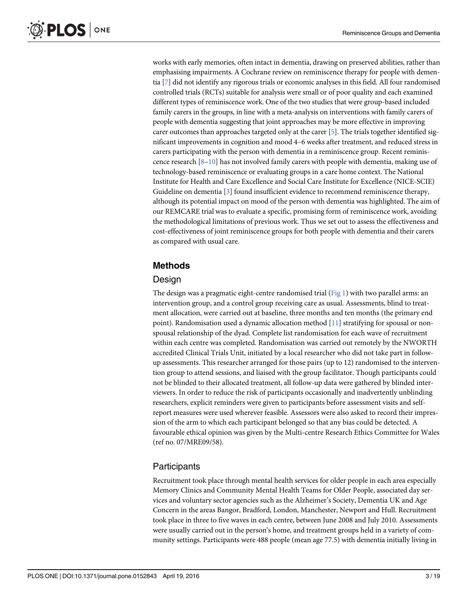<span id="page-2-0"></span>works with early memories, often intact in dementia, drawing on preserved abilities, rather than emphasising impairments. A Cochrane review on reminiscence therapy for people with dementia [\[7](#page-17-0)] did not identify any rigorous trials or economic analyses in this field. All four randomised controlled trials (RCTs) suitable for analysis were small or of poor quality and each examined different types of reminiscence work. One of the two studies that were group-based included family carers in the groups, in line with a meta-analysis on interventions with family carers of people with dementia suggesting that joint approaches may be more effective in improving carer outcomes than approaches targeted only at the carer [\[5\]](#page-17-0). The trials together identified significant improvements in cognition and mood 4–6 weeks after treatment, and reduced stress in carers participating with the person with dementia in a reminiscence group. Recent reminiscence research [[8](#page-17-0)–[10](#page-17-0)] has not involved family carers with people with dementia, making use of technology-based reminiscence or evaluating groups in a care home context. The National Institute for Health and Care Excellence and Social Care Institute for Excellence (NICE-SCIE) Guideline on dementia [\[3\]](#page-17-0) found insufficient evidence to recommend reminiscence therapy, although its potential impact on mood of the person with dementia was highlighted. The aim of our REMCARE trial was to evaluate a specific, promising form of reminiscence work, avoiding the methodological limitations of previous work. Thus we set out to assess the effectiveness and cost-effectiveness of joint reminiscence groups for both people with dementia and their carers as compared with usual care.

## Methods

## Design

The design was a pragmatic eight-centre randomised trial [\(Fig 1\)](#page-3-0) with two parallel arms: an intervention group, and a control group receiving care as usual. Assessments, blind to treatment allocation, were carried out at baseline, three months and ten months (the primary end point). Randomisation used a dynamic allocation method [[11](#page-17-0)] stratifying for spousal or nonspousal relationship of the dyad. Complete list randomisation for each wave of recruitment within each centre was completed. Randomisation was carried out remotely by the NWORTH accredited Clinical Trials Unit, initiated by a local researcher who did not take part in followup assessments. This researcher arranged for those pairs (up to 12) randomised to the intervention group to attend sessions, and liaised with the group facilitator. Though participants could not be blinded to their allocated treatment, all follow-up data were gathered by blinded interviewers. In order to reduce the risk of participants occasionally and inadvertently unblinding researchers, explicit reminders were given to participants before assessment visits and selfreport measures were used wherever feasible. Assessors were also asked to record their impression of the arm to which each participant belonged so that any bias could be detected. A favourable ethical opinion was given by the Multi-centre Research Ethics Committee for Wales (ref no. 07/MRE09/58).

## **Participants**

Recruitment took place through mental health services for older people in each area especially Memory Clinics and Community Mental Health Teams for Older People, associated day services and voluntary sector agencies such as the Alzheimer's Society, Dementia UK and Age Concern in the areas Bangor, Bradford, London, Manchester, Newport and Hull. Recruitment took place in three to five waves in each centre, between June 2008 and July 2010. Assessments were usually carried out in the person's home, and treatment groups held in a variety of community settings. Participants were 488 people (mean age 77.5) with dementia initially living in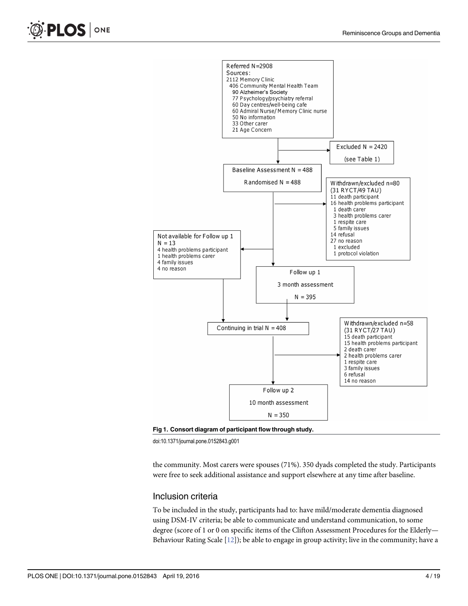

[Fig 1. C](#page-2-0)onsort diagram of participant flow through study.

doi:10.1371/journal.pone.0152843.g001

the community. Most carers were spouses (71%). 350 dyads completed the study. Participants were free to seek additional assistance and support elsewhere at any time after baseline.

#### Inclusion criteria

To be included in the study, participants had to: have mild/moderate dementia diagnosed using DSM-IV criteria; be able to communicate and understand communication, to some degree (score of 1 or 0 on specific items of the Clifton Assessment Procedures for the Elderly— Behaviour Rating Scale  $[12]$  $[12]$  $[12]$ ; be able to engage in group activity; live in the community; have a

<span id="page-3-0"></span> $PLOS$  ONE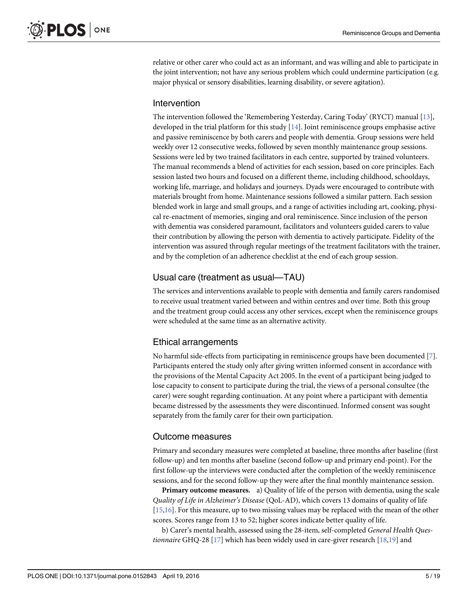<span id="page-4-0"></span>relative or other carer who could act as an informant, and was willing and able to participate in the joint intervention; not have any serious problem which could undermine participation (e.g. major physical or sensory disabilities, learning disability, or severe agitation).

#### Intervention

The intervention followed the 'Remembering Yesterday, Caring Today' (RYCT) manual  $[13]$ , developed in the trial platform for this study  $[14]$  $[14]$  $[14]$ . Joint reminiscence groups emphasise active and passive reminiscence by both carers and people with dementia. Group sessions were held weekly over 12 consecutive weeks, followed by seven monthly maintenance group sessions. Sessions were led by two trained facilitators in each centre, supported by trained volunteers. The manual recommends a blend of activities for each session, based on core principles. Each session lasted two hours and focused on a different theme, including childhood, schooldays, working life, marriage, and holidays and journeys. Dyads were encouraged to contribute with materials brought from home. Maintenance sessions followed a similar pattern. Each session blended work in large and small groups, and a range of activities including art, cooking, physical re-enactment of memories, singing and oral reminiscence. Since inclusion of the person with dementia was considered paramount, facilitators and volunteers guided carers to value their contribution by allowing the person with dementia to actively participate. Fidelity of the intervention was assured through regular meetings of the treatment facilitators with the trainer, and by the completion of an adherence checklist at the end of each group session.

## Usual care (treatment as usual—TAU)

The services and interventions available to people with dementia and family carers randomised to receive usual treatment varied between and within centres and over time. Both this group and the treatment group could access any other services, except when the reminiscence groups were scheduled at the same time as an alternative activity.

#### Ethical arrangements

No harmful side-effects from participating in reminiscence groups have been documented [[7](#page-17-0)]. Participants entered the study only after giving written informed consent in accordance with the provisions of the Mental Capacity Act 2005. In the event of a participant being judged to lose capacity to consent to participate during the trial, the views of a personal consultee (the carer) were sought regarding continuation. At any point where a participant with dementia became distressed by the assessments they were discontinued. Informed consent was sought separately from the family carer for their own participation.

#### Outcome measures

Primary and secondary measures were completed at baseline, three months after baseline (first follow-up) and ten months after baseline (second follow-up and primary end-point). For the first follow-up the interviews were conducted after the completion of the weekly reminiscence sessions, and for the second follow-up they were after the final monthly maintenance session.

Primary outcome measures. a) Quality of life of the person with dementia, using the scale Quality of Life in Alzheimer's Disease (QoL-AD), which covers 13 domains of quality of life [\[15,16\]](#page-17-0). For this measure, up to two missing values may be replaced with the mean of the other scores. Scores range from 13 to 52; higher scores indicate better quality of life.

b) Carer's mental health, assessed using the 28-item, self-completed General Health Questionnaire GHQ-28  $[17]$  which has been widely used in care-giver research  $[18,19]$  $[18,19]$  $[18,19]$  $[18,19]$  $[18,19]$  and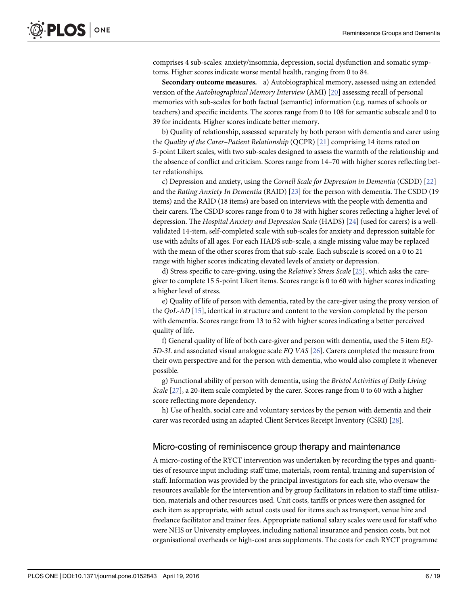<span id="page-5-0"></span>comprises 4 sub-scales: anxiety/insomnia, depression, social dysfunction and somatic symptoms. Higher scores indicate worse mental health, ranging from 0 to 84.

Secondary outcome measures. a) Autobiographical memory, assessed using an extended version of the Autobiographical Memory Interview (AMI) [[20](#page-18-0)] assessing recall of personal memories with sub-scales for both factual (semantic) information (e.g. names of schools or teachers) and specific incidents. The scores range from 0 to 108 for semantic subscale and 0 to 39 for incidents. Higher scores indicate better memory.

b) Quality of relationship, assessed separately by both person with dementia and carer using the Quality of the Carer–Patient Relationship (QCPR) [\[21\]](#page-18-0) comprising 14 items rated on 5-point Likert scales, with two sub-scales designed to assess the warmth of the relationship and the absence of conflict and criticism. Scores range from 14–70 with higher scores reflecting better relationships.

c) Depression and anxiety, using the Cornell Scale for Depression in Dementia (CSDD) [\[22\]](#page-18-0) and the Rating Anxiety In Dementia (RAID) [[23\]](#page-18-0) for the person with dementia. The CSDD (19 items) and the RAID (18 items) are based on interviews with the people with dementia and their carers. The CSDD scores range from 0 to 38 with higher scores reflecting a higher level of depression. The Hospital Anxiety and Depression Scale (HADS) [\[24](#page-18-0)] (used for carers) is a wellvalidated 14-item, self-completed scale with sub-scales for anxiety and depression suitable for use with adults of all ages. For each HADS sub-scale, a single missing value may be replaced with the mean of the other scores from that sub-scale. Each subscale is scored on a 0 to 21 range with higher scores indicating elevated levels of anxiety or depression.

d) Stress specific to care-giving, using the Relative's Stress Scale [[25\]](#page-18-0), which asks the caregiver to complete 15 5-point Likert items. Scores range is 0 to 60 with higher scores indicating a higher level of stress.

e) Quality of life of person with dementia, rated by the care-giver using the proxy version of the QoL-AD [\[15\]](#page-17-0), identical in structure and content to the version completed by the person with dementia. Scores range from 13 to 52 with higher scores indicating a better perceived quality of life.

f) General quality of life of both care-giver and person with dementia, used the 5 item EQ-5D-3L and associated visual analogue scale EQ VAS  $[26]$ . Carers completed the measure from their own perspective and for the person with dementia, who would also complete it whenever possible.

g) Functional ability of person with dementia, using the Bristol Activities of Daily Living Scale [\[27\]](#page-18-0), a 20-item scale completed by the carer. Scores range from 0 to 60 with a higher score reflecting more dependency.

h) Use of health, social care and voluntary services by the person with dementia and their carer was recorded using an adapted Client Services Receipt Inventory (CSRI) [[28](#page-18-0)].

#### Micro-costing of reminiscence group therapy and maintenance

A micro-costing of the RYCT intervention was undertaken by recording the types and quantities of resource input including: staff time, materials, room rental, training and supervision of staff. Information was provided by the principal investigators for each site, who oversaw the resources available for the intervention and by group facilitators in relation to staff time utilisation, materials and other resources used. Unit costs, tariffs or prices were then assigned for each item as appropriate, with actual costs used for items such as transport, venue hire and freelance facilitator and trainer fees. Appropriate national salary scales were used for staff who were NHS or University employees, including national insurance and pension costs, but not organisational overheads or high-cost area supplements. The costs for each RYCT programme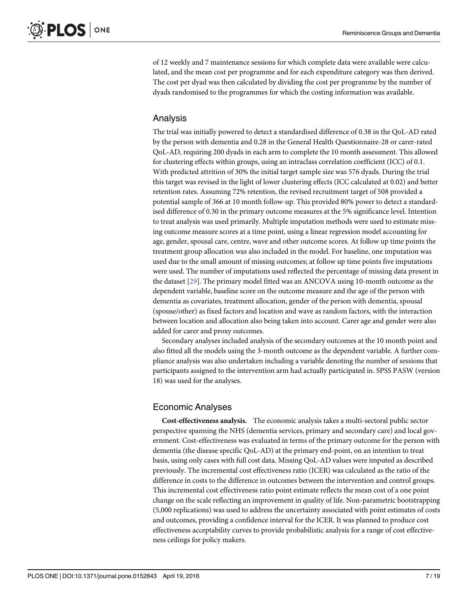<span id="page-6-0"></span>of 12 weekly and 7 maintenance sessions for which complete data were available were calculated, and the mean cost per programme and for each expenditure category was then derived. The cost per dyad was then calculated by dividing the cost per programme by the number of dyads randomised to the programmes for which the costing information was available.

#### Analysis

The trial was initially powered to detect a standardised difference of 0.38 in the QoL-AD rated by the person with dementia and 0.28 in the General Health Questionnaire-28 or carer-rated QoL-AD, requiring 200 dyads in each arm to complete the 10 month assessment. This allowed for clustering effects within groups, using an intraclass correlation coefficient (ICC) of 0.1. With predicted attrition of 30% the initial target sample size was 576 dyads. During the trial this target was revised in the light of lower clustering effects (ICC calculated at 0.02) and better retention rates. Assuming 72% retention, the revised recruitment target of 508 provided a potential sample of 366 at 10 month follow-up. This provided 80% power to detect a standardised difference of 0.30 in the primary outcome measures at the 5% significance level. Intention to treat analysis was used primarily. Multiple imputation methods were used to estimate missing outcome measure scores at a time point, using a linear regression model accounting for age, gender, spousal care, centre, wave and other outcome scores. At follow up time points the treatment group allocation was also included in the model. For baseline, one imputation was used due to the small amount of missing outcomes; at follow up time points five imputations were used. The number of imputations used reflected the percentage of missing data present in the dataset [\[29\]](#page-18-0). The primary model fitted was an ANCOVA using 10-month outcome as the dependent variable, baseline score on the outcome measure and the age of the person with dementia as covariates, treatment allocation, gender of the person with dementia, spousal (spouse/other) as fixed factors and location and wave as random factors, with the interaction between location and allocation also being taken into account. Carer age and gender were also added for carer and proxy outcomes.

Secondary analyses included analysis of the secondary outcomes at the 10 month point and also fitted all the models using the 3-month outcome as the dependent variable. A further compliance analysis was also undertaken including a variable denoting the number of sessions that participants assigned to the intervention arm had actually participated in. SPSS PASW (version 18) was used for the analyses.

#### Economic Analyses

Cost-effectiveness analysis. The economic analysis takes a multi-sectoral public sector perspective spanning the NHS (dementia services, primary and secondary care) and local government. Cost-effectiveness was evaluated in terms of the primary outcome for the person with dementia (the disease specific QoL-AD) at the primary end-point, on an intention to treat basis, using only cases with full cost data. Missing QoL-AD values were imputed as described previously. The incremental cost effectiveness ratio (ICER) was calculated as the ratio of the difference in costs to the difference in outcomes between the intervention and control groups. This incremental cost effectiveness ratio point estimate reflects the mean cost of a one point change on the scale reflecting an improvement in quality of life. Non-parametric bootstrapping (5,000 replications) was used to address the uncertainty associated with point estimates of costs and outcomes, providing a confidence interval for the ICER. It was planned to produce cost effectiveness acceptability curves to provide probabilistic analysis for a range of cost effectiveness ceilings for policy makers.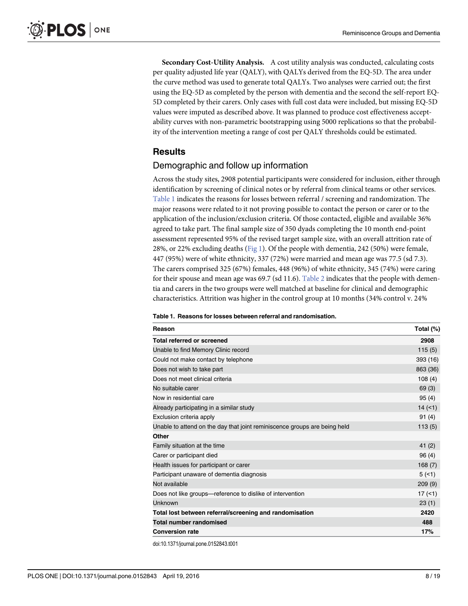<span id="page-7-0"></span>Secondary Cost-Utility Analysis. A cost utility analysis was conducted, calculating costs per quality adjusted life year (QALY), with QALYs derived from the EQ-5D. The area under the curve method was used to generate total QALYs. Two analyses were carried out; the first using the EQ-5D as completed by the person with dementia and the second the self-report EQ-5D completed by their carers. Only cases with full cost data were included, but missing EQ-5D values were imputed as described above. It was planned to produce cost effectiveness acceptability curves with non-parametric bootstrapping using 5000 replications so that the probability of the intervention meeting a range of cost per QALY thresholds could be estimated.

## **Results**

#### Demographic and follow up information

Across the study sites, 2908 potential participants were considered for inclusion, either through identification by screening of clinical notes or by referral from clinical teams or other services. Table 1 indicates the reasons for losses between referral / screening and randomization. The major reasons were related to it not proving possible to contact the person or carer or to the application of the inclusion/exclusion criteria. Of those contacted, eligible and available 36% agreed to take part. The final sample size of 350 dyads completing the 10 month end-point assessment represented 95% of the revised target sample size, with an overall attrition rate of 28%, or 22% excluding deaths ([Fig 1](#page-3-0)). Of the people with dementia, 242 (50%) were female, 447 (95%) were of white ethnicity, 337 (72%) were married and mean age was 77.5 (sd 7.3). The carers comprised 325 (67%) females, 448 (96%) of white ethnicity, 345 (74%) were caring for their spouse and mean age was 69.7 (sd 11.6). [Table 2](#page-8-0) indicates that the people with dementia and carers in the two groups were well matched at baseline for clinical and demographic characteristics. Attrition was higher in the control group at 10 months (34% control v. 24%

#### Table 1. Reasons for losses between referral and randomisation.

| Reason                                                                    | Total (%) |
|---------------------------------------------------------------------------|-----------|
| Total referred or screened                                                | 2908      |
| Unable to find Memory Clinic record                                       | 115(5)    |
| Could not make contact by telephone                                       | 393 (16)  |
| Does not wish to take part                                                | 863 (36)  |
| Does not meet clinical criteria                                           | 108(4)    |
| No suitable carer                                                         | 69(3)     |
| Now in residential care                                                   | 95(4)     |
| Already participating in a similar study                                  | 14(51)    |
| Exclusion criteria apply                                                  | 91(4)     |
| Unable to attend on the day that joint reminiscence groups are being held | 113(5)    |
| Other                                                                     |           |
| Family situation at the time                                              | 41(2)     |
| Carer or participant died                                                 | 96(4)     |
| Health issues for participant or carer                                    | 168(7)    |
| Participant unaware of dementia diagnosis                                 | 5(1)      |
| Not available                                                             | 209(9)    |
| Does not like groups—reference to dislike of intervention                 | 17(51)    |
| Unknown                                                                   | 23(1)     |
| Total lost between referral/screening and randomisation                   | 2420      |
| <b>Total number randomised</b>                                            | 488       |
| <b>Conversion rate</b>                                                    | 17%       |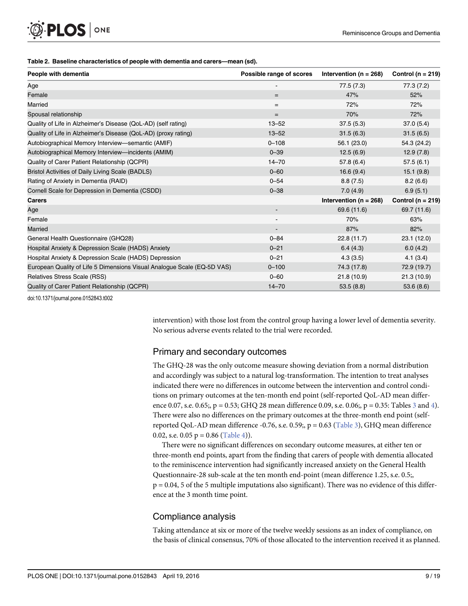<span id="page-8-0"></span>[Table 2.](#page-7-0) Baseline characteristics of people with dementia and carers—mean (sd).

| People with dementia                                                    | Possible range of scores | Intervention ( $n = 268$ ) | Control ( $n = 219$ ) |
|-------------------------------------------------------------------------|--------------------------|----------------------------|-----------------------|
| Age                                                                     |                          | 77.5 (7.3)                 | 77.3 (7.2)            |
| Female                                                                  | $=$                      | 47%                        | 52%                   |
| Married                                                                 | $=$                      | 72%                        | 72%                   |
| Spousal relationship                                                    | $=$                      | 70%                        | 72%                   |
| Quality of Life in Alzheimer's Disease (QoL-AD) (self rating)           | $13 - 52$                | 37.5(5.3)                  | 37.0(5.4)             |
| Quality of Life in Alzheimer's Disease (QoL-AD) (proxy rating)          | $13 - 52$                | 31.5(6.3)                  | 31.5(6.5)             |
| Autobiographical Memory Interview-semantic (AMIF)                       | $0 - 108$                | 56.1 (23.0)                | 54.3 (24.2)           |
| Autobiographical Memory Interview—incidents (AMIM)                      | $0 - 39$                 | 12.5(6.9)                  | 12.9(7.8)             |
| Quality of Carer Patient Relationship (QCPR)                            | $14 - 70$                | 57.8 (6.4)                 | 57.5(6.1)             |
| Bristol Activities of Daily Living Scale (BADLS)                        | $0 - 60$                 | 16.6(9.4)                  | 15.1(9.8)             |
| Rating of Anxiety in Dementia (RAID)                                    | $0 - 54$                 | 8.8(7.5)                   | 8.2(6.6)              |
| Cornell Scale for Depression in Dementia (CSDD)                         | $0 - 38$                 | 7.0(4.9)                   | 6.9(5.1)              |
| <b>Carers</b>                                                           |                          | Intervention ( $n = 268$ ) | Control ( $n = 219$ ) |
| Age                                                                     | $\blacksquare$           | 69.6 (11.6)                | 69.7 (11.6)           |
| Female                                                                  | $\blacksquare$           | 70%                        | 63%                   |
| <b>Married</b>                                                          |                          | 87%                        | 82%                   |
| General Health Questionnaire (GHQ28)                                    | $0 - 84$                 | 22.8(11.7)                 | 23.1(12.0)            |
| Hospital Anxiety & Depression Scale (HADS) Anxiety                      | $0 - 21$                 | 6.4(4.3)                   | 6.0(4.2)              |
| Hospital Anxiety & Depression Scale (HADS) Depression                   | $0 - 21$                 | 4.3(3.5)                   | 4.1(3.4)              |
| European Quality of Life 5 Dimensions Visual Analogue Scale (EQ-5D VAS) | $0 - 100$                | 74.3 (17.8)                | 72.9 (19.7)           |
| Relatives Stress Scale (RSS)                                            | $0 - 60$                 | 21.8(10.9)                 | 21.3(10.9)            |
| Quality of Carer Patient Relationship (QCPR)                            | $14 - 70$                | 53.5(8.8)                  | 53.6(8.6)             |

doi:10.1371/journal.pone.0152843.t002

intervention) with those lost from the control group having a lower level of dementia severity. No serious adverse events related to the trial were recorded.

#### Primary and secondary outcomes

The GHQ-28 was the only outcome measure showing deviation from a normal distribution and accordingly was subject to a natural log-transformation. The intention to treat analyses indicated there were no differences in outcome between the intervention and control conditions on primary outcomes at the ten-month end point (self-reported QoL-AD mean differ-ence 0.07, s.e. 0.65;, p = 0.5[3](#page-9-0); GHQ 28 mean difference 0.09, s.e. 0.06;, p = 0.35: Tables  $\frac{3}{2}$  and  $\frac{4}{2}$ ). There were also no differences on the primary outcomes at the three-month end point (selfreported QoL-AD mean difference -0.76, s.e. 0.59;, p = 0.63 [\(Table 3\)](#page-9-0), GHQ mean difference 0.02, s.e. 0.05  $p = 0.86$  ([Table 4\)](#page-11-0)).

There were no significant differences on secondary outcome measures, at either ten or three-month end points, apart from the finding that carers of people with dementia allocated to the reminiscence intervention had significantly increased anxiety on the General Health Questionnaire-28 sub-scale at the ten month end-point (mean difference 1.25, s.e. 0.5;,  $p = 0.04$ , 5 of the 5 multiple imputations also significant). There was no evidence of this difference at the 3 month time point.

#### Compliance analysis

Taking attendance at six or more of the twelve weekly sessions as an index of compliance, on the basis of clinical consensus, 70% of those allocated to the intervention received it as planned.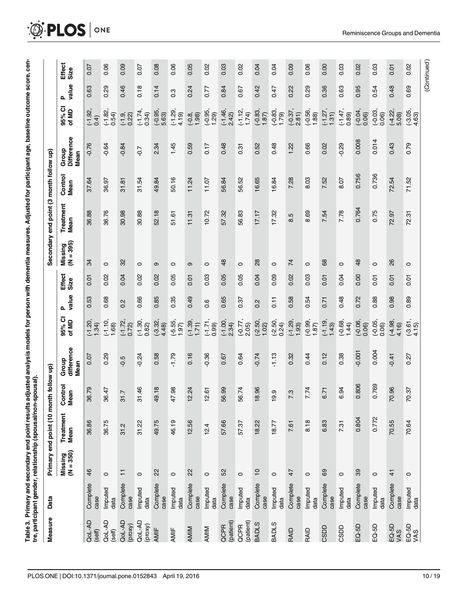<span id="page-9-0"></span>

| $\frac{1}{2}$<br>i  |   |
|---------------------|---|
|                     |   |
|                     |   |
|                     |   |
|                     |   |
|                     |   |
|                     |   |
|                     |   |
|                     |   |
|                     |   |
|                     |   |
| $\overline{a}$<br>į |   |
|                     |   |
|                     |   |
|                     |   |
|                     |   |
| adlus               |   |
| 3                   |   |
|                     |   |
|                     |   |
| j<br>l              |   |
| i                   | I |
|                     |   |
|                     |   |
|                     |   |
|                     |   |
| Į<br>l              |   |

| <b>Measure</b>             | Data             |                    | Primary end point (10 month follow up) |                            |                             |                       |                   |                |                      | Secondary end point (3 month follow up) |                 |                                    |                                              |                  |                       |
|----------------------------|------------------|--------------------|----------------------------------------|----------------------------|-----------------------------|-----------------------|-------------------|----------------|----------------------|-----------------------------------------|-----------------|------------------------------------|----------------------------------------------|------------------|-----------------------|
|                            |                  | $Missing(N = 350)$ | Treatment<br>Mean                      | Control<br>Mean            | difference<br>Group<br>Mean | 95% CI<br>of MD       | value<br>Δ.       | Effect<br>Size | Missing<br>(N = 395) | Treatment<br>Mean                       | Control<br>Mean | <b>Difference</b><br>Group<br>Mean | 95% CI<br>of MD                              | value<br>≏       | <b>Effect</b><br>Size |
| QoL-AD<br>(self)           | Complete<br>case | 46                 | 36.86                                  | 36.79                      | 0.07                        | $(-1.20,$<br>1.34)    | 0.53              | 0.01           | 34                   | 36.88                                   | 37.64           | $-0.76$                            | $(-1.92,$<br>0.4                             | 0.63             | 0.07                  |
| QoL-AD<br>(self)           | Imputed<br>data  | $\circ$            | 36.75                                  | 36.47                      | 0.29                        | $(-1.10,$<br>1.68     | 0.68              | 0.02           | $\circ$              | 36.76                                   | 36.97           | $-0.64$                            | $(-1.82,$<br>0.54)                           | 0.29             | 0.06                  |
| QoL-AD<br>(proxy)          | Complete<br>case | Η                  | 31.2                                   | 31.7                       | $-0.5$                      | $(-1.72,$<br>0.72)    | $\frac{2}{3}$     | 0.04           | 32                   | 30.98                                   | 31.81           | $-0.84$                            | $(-1.9,$<br>0.22                             | 0.46             | 0.09                  |
| QoL-AD<br>$(\text{proxy})$ | Imputed<br>data  | $\circ$            | 31.22                                  | 1.46<br>ၛ                  | $-0.24$                     | $(-1.30,$<br>0.82)    | 0.66              | 0.02           | $\circ$              | 30.88                                   | 31.54           | $-0.7$                             | $(-1.74,$<br>0.34)                           | 0.18             | 0.07                  |
| AMIF                       | Complete<br>case | 22                 | 49.75                                  | 49.18                      | 0.58                        | $(-3.32,$<br>4.48)    | 0.85              | 0.02           | თ                    | 52.18                                   | 49.84           | 2.34                               | $(-0.95, 5.63)$                              | 0.14             | 0.08                  |
| AMIF                       | Imputed<br>data  | $\circ$            | 46.19                                  | .98<br>47.                 | $-1.79$                     | $-5.55,$<br>(56.1)    | 0.35              | 0.05           | $\circ$              | 51.61                                   | 50.16           | 1.45                               | $(-1.29,$<br>4.19                            | $0.\overline{3}$ | 0.06                  |
| <b>AMIM</b>                | Complete<br>case | 22                 | 12.56                                  | 12.24                      | 0.16                        | $(-1.39,$<br>1.71)    | 0.49              | 0.01           | ၜ                    | 11.31                                   | 11.24           | 0.59                               | (98)<br>$(-0.8)$                             | 0.24             | 0.05                  |
| <b>AMIM</b>                | Imputed<br>data  | $\circ$            | 12.4                                   | $\overline{6}$<br><u>이</u> | $-0.36$                     | $(-1.71,$<br>0.99     | 0.6               | 0.03           | $\circ$              | 10.72                                   | 11.07           | 0.17                               | $(-0.95, 1.29)$                              | 0.77             | 0.02                  |
| (patient)<br>QCPR          | Complete<br>case | 52                 | 57.66                                  | 56.99                      | 0.67                        | $(-1.00,$<br>2.34)    | 0.65              | 0.05           | 48                   | 57.32                                   | 56.84           | 0.48                               | $(-1.46,$<br>2.42                            | 0.84             | 0.03                  |
| (patient)<br>QCPR          | Imputed<br>data  | $\circ$            | 57.37                                  | 56.74                      | 0.64                        | $(-0.77,$<br>2.05     | 0.37              | 0.05           | $\circ$              | 56.83                                   | 56.52           | 0.31                               | $(-1.12,$<br>1.74                            | 0.67             | 0.02                  |
| <b>BADLS</b>               | Complete<br>case | $\overline{C}$     | 18.22                                  | 18.96                      | $-0.74$                     | $(-2.50, 1.02)$       | 0.2               | 0.04           | 28                   | 17.17                                   | 16.65           | 0.52                               | $(-0.83,$<br>(1.87)                          | 0.42             | 0.04                  |
| <b>BADLS</b>               | Imputed<br>data  | $\circ$            | 18.77                                  | თ<br>$\frac{1}{6}$         | $-1.13$                     | $(-2.50,$<br>0.24)    | $\overline{0.11}$ | 0.09           | $\circ$              | 17.32                                   | 16.84           | 0.48                               | $(-0.83,$<br>(62.1)                          | 0.47             | 0.04                  |
| RAID                       | Complete<br>case | 47                 | 7.61                                   | $\ddot{\omega}$            | 0.32                        | $(-1.29,$<br>1.93)    | 0.58              | 0.02           | $\overline{7}$       | 8.5                                     | 7.28            | 1.22                               | $(-0.37,$<br>2.81)                           | 0.22             | 0.09                  |
| RAID                       | Imputed<br>data  | $\circ$            | 8.18                                   | 7.74                       | 0.44                        | $(-0.99,$<br>$1.87$ ) | 0.54              | 0.03           | $\circ$              | 8.69                                    | 8.03            | 0.66                               | $(-0.56,$<br>1.88)                           | 0.29             | 0.06                  |
| CSDD                       | Complete<br>case | 69                 | 6.83                                   | 6.71                       | 0.12                        | $(-1.19,$<br>(61.43)  | 0.71              | 0.01           | 89                   | 7.54                                    | 7.52            | 0.02                               | $(-1.27,$<br>(31)                            | 0.36             | 0.00                  |
| CSDD                       | Imputed<br>data  | $\circ$            | 7.31                                   | 6.94                       | 0.38                        | $(-0.68,$<br>(1.44)   | 0.48              | 0.04           | $\circ$              | 7.78                                    | 8.07            | $-0.29$                            | $(-1.47)$<br>0.89)                           | 0.63             | 0.03                  |
| $EQ-5D$                    | Complete<br>case | 39                 | 0.804                                  | 0.806                      | $-0.001$                    | $(-0.06,$<br>0.06)    | 0.72              | 0.00           | $\frac{48}{5}$       | 0.764                                   | 0.756           | 0.008                              | $(-0.04, 0.06)$                              | 0.95             | 0.02                  |
| EQ-5D                      | Imputed<br>data  | $\circ$            | 0.772                                  | 0.769                      | 0.004                       | $(-0.05,$<br>0.06)    | 0.88              | 0.01           | $\circ$              | 0.75                                    | 0.736           | 0.014                              | $(-0.03,$<br>0.06)                           | 0.54             | 0.03                  |
| $EQ-5D$<br>VAS             | Complete<br>case | $\frac{1}{4}$      | 70.55                                  | 70.96                      | $-0.41$                     | $(-4.98,$<br>4.16)    | 0.98              | 0.01           | 26                   | 72.97                                   | 72.54           | 0.43                               | $(-4.22,$<br>5.08)                           | 0.48             | 0.01                  |
| EQ-5D<br>VAS               | Imputed<br>data  | $\circ$            | 70.64                                  | 70.37                      | 0.27                        | $(-3.61, 4.15)$       | 0.89              | 0.01           | $\circ$              | 72.31                                   | 71.52           | 0.79                               | $\begin{array}{c} (-3.05, 4.63) \end{array}$ | 0.69             | 0.02                  |
|                            |                  |                    |                                        |                            |                             |                       |                   |                |                      |                                         |                 |                                    |                                              |                  | (Continued)           |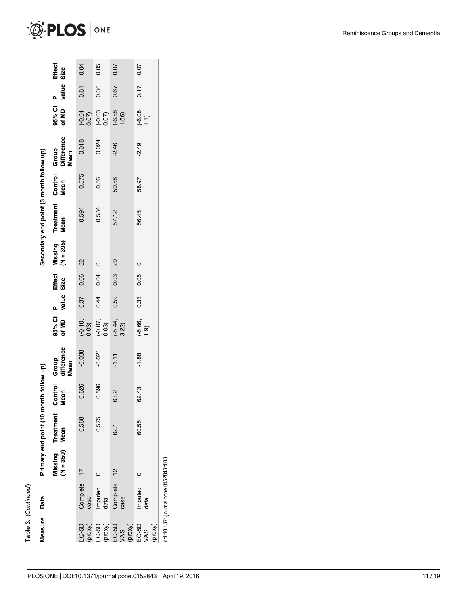| c<br>ı |  |
|--------|--|

| PLOS ONE   DOI:10.1371/journal.pone.0152843 April 19, 2016 | 11/19 |
|------------------------------------------------------------|-------|
|------------------------------------------------------------|-------|

| Measure                 | Data                                  | Primary end point (10 month follow up) |                        |                             |                                                |                             |               |    | Secondary end point (3 month follow up)          |       |                             |                                                                      |                     |                |
|-------------------------|---------------------------------------|----------------------------------------|------------------------|-----------------------------|------------------------------------------------|-----------------------------|---------------|----|--------------------------------------------------|-------|-----------------------------|----------------------------------------------------------------------|---------------------|----------------|
|                         |                                       | Missing Treatment<br>(N = 350) Mean    | Control<br><b>Mean</b> | Group<br>difference<br>Mean | 95% CI<br>of MD                                | value Size<br>$\frac{1}{2}$ | <b>Effect</b> |    | Missing Treatment Control<br>(N = 395) Mean Mean |       | Group<br>Difference<br>Mean | 95% CI<br>of MD                                                      | value ><br><b>e</b> | Effect<br>Size |
| $EQ-5D$<br>(proxy)      | Complete 17<br>case                   | 0.588                                  | 0.626                  | $-0.038$                    |                                                | 0.37                        | 0.06          | 32 | 0.594                                            | 0.575 | 0.018                       |                                                                      | 0.81                | 0.04           |
| $EQ-5D$<br>(proxy)      | Imputed<br>data                       | 0.575                                  | 0.596                  | $-0.021$                    |                                                | 0.44                        | $0.04$ 0      |    | 0.584                                            | 0.56  | 0.024                       | $(0.07)$<br>$(0.07)$<br>$(0.07)$<br>$(0.07)$<br>$(0.58)$<br>$(0.58)$ | 0.36                | 0.05           |
| EQ-5D<br>VAS<br>(proxy) | Complete 12<br>case                   | 62.1                                   | 63.2                   | $-1.11$                     |                                                | 0.59                        | 0.03          | 88 | 57.12                                            | 59.58 | $-2.46$                     |                                                                      | 0.67                | 0.07           |
| EQ-5D<br>VAS<br>(proxy) | Imputed C<br>data                     | 60.55                                  | 62.43                  | $-1.88$                     | $\begin{array}{c} (-5.66, \\ 1.9) \end{array}$ | 0.33                        | 0.050         |    | 56.48                                            | 58.97 | $-2.49$                     | $\begin{array}{c} (-6.08, \\ 1.1) \end{array}$                       | 0.17                | 0.07           |
|                         | doi:10.1371/journal.pone.0152843.t003 |                                        |                        |                             |                                                |                             |               |    |                                                  |       |                             |                                                                      |                     |                |

 $\mathcal{D}$  PLOS | ONE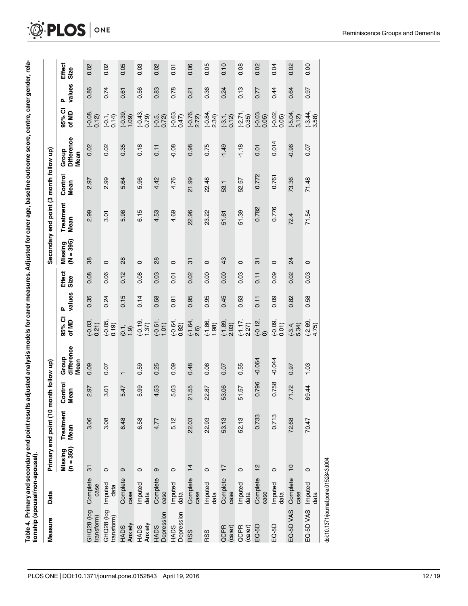| $\vdots$<br>come contro contro coro cui<br>どうろう<br>.<br>י |  |
|-----------------------------------------------------------|--|
| i<br>.<br>ā<br>ś                                          |  |

<span id="page-11-0"></span> $\mathcal{D}$  PLOS | ONE

| desults and service in the same of a state |                  |                        |                                        |                         |                             |                                                      |                   |                       |                             |                                         |                        |                                           |                                                      |             |                       |
|--------------------------------------------|------------------|------------------------|----------------------------------------|-------------------------|-----------------------------|------------------------------------------------------|-------------------|-----------------------|-----------------------------|-----------------------------------------|------------------------|-------------------------------------------|------------------------------------------------------|-------------|-----------------------|
| Measure                                    | Data             |                        | Primary end point (10 month follow up) |                         |                             |                                                      |                   |                       |                             | Secondary end point (3 month follow up) |                        |                                           |                                                      |             |                       |
|                                            |                  | Missing<br>$(n = 350)$ | <b>Treatment</b><br>Mean               | ontrol<br>ean<br>ပ<br>Σ | difference<br>Group<br>Mean | 95% Cl<br>of MD                                      | values<br>௳       | <b>Effect</b><br>Size | $(N = 395)$<br>Missing      | Treatment<br><b>Mean</b>                | Control<br><b>Mean</b> | <b>Difference</b><br>Group<br><b>Mean</b> | 95% CI<br>of MD                                      | values<br>௳ | <b>Effect</b><br>Size |
| GHQ28 (log<br>transform)                   | Complete<br>case | $\overline{5}$         | 3.06                                   | <b>2.97</b>             | 0.09                        | $(-0.03,$<br>0.21)                                   | 0.35              | 0.08                  | 38                          | 2.99                                    | 2.97                   | 0.02                                      | $(-0.08,$<br>0.12)                                   | 0.86        | 0.02                  |
| GHQ28 (log<br>transform)                   | Imputed<br>data  | $\circ$                | 3.08                                   | 3.01                    | 0.07                        | $\begin{array}{c} (-0.05, 0.01) \\ 0.19 \end{array}$ | 0.24              | 0.06                  | $\circ$                     | 3.01                                    | 2.99                   | 0.02                                      | $\begin{pmatrix} -0.1 \\ -0.14 \end{pmatrix}$        | 0.74        | 0.02                  |
| HADS<br>Anxiety                            | Complete<br>case | თ                      | 6.48                                   | 5.47                    |                             | $rac{1}{2}$<br>$rac{1}{2}$                           | 0.15              | 0.12                  | $\mathcal{S}^{\mathcal{S}}$ | 5.98                                    | 5.64                   | 0.35                                      | $(-0.39,$<br>1.09                                    | 0.61        | 0.05                  |
| Anxiety<br><b>HADS</b>                     | Imputed<br>data  | $\circ$                | 6.58                                   | 5.99                    | 0.59                        | $(-0.19,$<br>1.37                                    | 0.14              | 0.08                  | $\circ$                     | 6.15                                    | 5.96                   | 0.18                                      | $(-0.43,$<br>0.79                                    | 0.56        | 0.03                  |
| Depression<br><b>HADS</b>                  | Complete<br>case | თ                      | 4.77                                   | 53<br>4.                | 0.25                        | $(-0.51,$<br>1.01                                    | 0.58              | 0.03                  | $\infty$                    | 4.53                                    | 4.42                   | $\overline{0.11}$                         | $(-0.5, 0.72)$                                       | 0.83        | 0.02                  |
| Depression<br><b>HADS</b>                  | Imputed<br>data  | $\circ$                | 5.12                                   | 5.03                    | 0.09                        | $(-0.64,$<br>0.82)                                   | 0.81              | 0.01                  | $\circ$                     | 4.69                                    | 4.76                   | $-0.08$                                   | $(-0.63,$<br>0.47)                                   | 0.78        | 0.01                  |
| <b>RSS</b>                                 | Complete<br>case | $\overline{4}$         | 22.03                                  | 21.55                   | 0.48                        | $(-1.64,$<br>2.6                                     | 0.95              | 0.02                  | 5                           | 22.96                                   | 21.99                  | 0.98                                      | $(-0.76,$<br>2.72)                                   | 0.21        | 0.06                  |
| <b>RSS</b>                                 | Imputed<br>data  | $\circ$                | 22.93                                  | 59<br>$\overline{22}$ . | 0.06                        | $(-1.86,$<br>1.98                                    | 0.95              | 0.00                  | $\circ$                     | 23.22                                   | 22.48                  | 0.75                                      | $\begin{pmatrix} -0.84 \\ -2.34 \end{pmatrix}$       | 0.36        | 0.05                  |
| QCPR<br>(carer)                            | Complete<br>case | 17                     | 53.13                                  | 53.06                   | 0.07                        | $(-1.89,$<br>2.03                                    | 0.45              | 0.00                  | $\frac{3}{2}$               | 51.61                                   | 53.1                   | $-1.49$                                   | $(-3.1,$<br>(21)                                     | 0.24        | 0.10                  |
| QCPR<br>(carer)                            | Imputed<br>data  | $\circ$                | 52.13                                  | 51.57                   | 0.55                        | $(-1, 17,$<br>2.27                                   | 0.53              | 0.03                  | $\circ$                     | 51.39                                   | 52.57                  | $-1.18$                                   | $\begin{array}{c} (-2.71, 0.35) \\ 0.35 \end{array}$ | 0.13        | 0.08                  |
| EQ-5D                                      | Complete<br>case | $\tilde{c}$            | 0.733                                  | 0.796                   | $-0.064$                    | $( -0.12, 0)$                                        | $\overline{0.11}$ | $\overline{0.11}$     | 5                           | 0.782                                   | 0.772                  | 0.01                                      | $\binom{-0.03}{0.05}$                                | 0.77        | 0.02                  |
| EQ-5D                                      | Imputed<br>data  | $\circ$                | 0.713                                  | 0.758                   | $-0.044$                    | $(-0.09,$<br>0.01)                                   | 0.09              | 0.09                  | $\circ$                     | 0.776                                   | 0.761                  | 0.014                                     | $(-0.02,$<br>0.05)                                   | 0.44        | 0.04                  |
| EQ-5D VAS                                  | Complete<br>case | $\overline{C}$         | 72.68                                  | 71.72                   | 0.97                        | $(-3.4,$<br>5.34)                                    | 0.82              | 0.02                  | $\overline{24}$             | 72.4                                    | 73.36                  | $-0.96$                                   | $(-5.04,$<br>3.12                                    | 0.64        | 0.02                  |
| EQ-5D VAS Imputed                          | data             | $\circ$                | 70.47                                  | 69.44                   | 1.03                        | $(-2.69, 4.75)$                                      | 0.58              | 0.03                  | $\circ$                     | 71.54                                   | 71.48                  | 0.07                                      | $\begin{array}{c} (-3.44, \\ 3.58) \end{array}$      | 0.97        | 0.00                  |
|                                            |                  |                        |                                        |                         |                             |                                                      |                   |                       |                             |                                         |                        |                                           |                                                      |             |                       |

doi:10.1371/journal.pone.0152843.t004 doi:10.1371/journal.pone.0152843.t004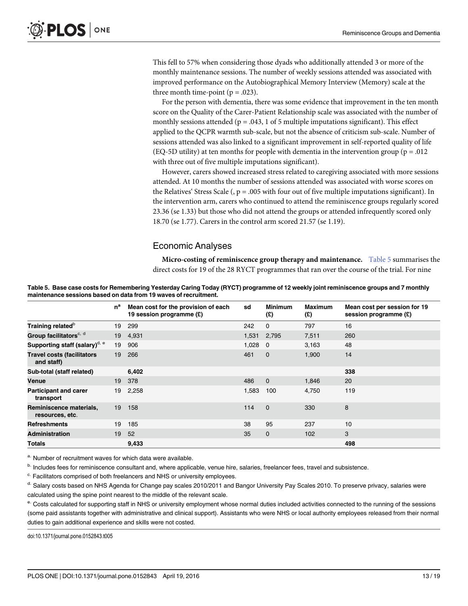This fell to 57% when considering those dyads who additionally attended 3 or more of the monthly maintenance sessions. The number of weekly sessions attended was associated with improved performance on the Autobiographical Memory Interview (Memory) scale at the three month time-point ( $p = .023$ ).

For the person with dementia, there was some evidence that improvement in the ten month score on the Quality of the Carer-Patient Relationship scale was associated with the number of monthly sessions attended ( $p = .043$ , 1 of 5 multiple imputations significant). This effect applied to the QCPR warmth sub-scale, but not the absence of criticism sub-scale. Number of sessions attended was also linked to a significant improvement in self-reported quality of life (EQ-5D utility) at ten months for people with dementia in the intervention group (p = .012 with three out of five multiple imputations significant).

However, carers showed increased stress related to caregiving associated with more sessions attended. At 10 months the number of sessions attended was associated with worse scores on the Relatives' Stress Scale (,  $p = .005$  with four out of five multiple imputations significant). In the intervention arm, carers who continued to attend the reminiscence groups regularly scored 23.36 (se 1.33) but those who did not attend the groups or attended infrequently scored only 18.70 (se 1.77). Carers in the control arm scored 21.57 (se 1.19).

#### Economic Analyses

Micro-costing of reminiscence group therapy and maintenance. Table 5 summarises the direct costs for 19 of the 28 RYCT programmes that ran over the course of the trial. For nine

| Table 5. Base case costs for Remembering Yesterday Caring Today (RYCT) programme of 12 weekly joint reminiscence groups and 7 monthly |  |
|---------------------------------------------------------------------------------------------------------------------------------------|--|
| maintenance sessions based on data from 19 waves of recruitment.                                                                      |  |

|                                                 | $n^a$ | Mean cost for the provision of each<br>19 session programme $(E)$ | sd    | <b>Minimum</b><br>(2) | Maximum<br>(£) | Mean cost per session for 19<br>session programme $(E)$ |
|-------------------------------------------------|-------|-------------------------------------------------------------------|-------|-----------------------|----------------|---------------------------------------------------------|
| Training related <sup>b</sup>                   | 19    | 299                                                               | 242   | $\Omega$              | 797            | 16                                                      |
| Group facilitators <sup>c, d</sup>              | 19    | 4,931                                                             | 1,531 | 2,795                 | 7,511          | 260                                                     |
| Supporting staff (salary) <sup>d, e</sup>       | 19    | 906                                                               | 1,028 | $\mathbf 0$           | 3,163          | 48                                                      |
| <b>Travel costs (facilitators</b><br>and staff) | 19    | 266                                                               | 461   | $\mathbf 0$           | 1,900          | 14                                                      |
| Sub-total (staff related)                       |       | 6,402                                                             |       |                       |                | 338                                                     |
| Venue                                           | 19    | 378                                                               | 486   | $\Omega$              | 1,846          | 20                                                      |
| <b>Participant and carer</b><br>transport       | 19    | 2,258                                                             | 1,583 | 100                   | 4,750          | 119                                                     |
| Reminiscence materials,<br>resources, etc.      | 19    | 158                                                               | 114   | $\Omega$              | 330            | 8                                                       |
| <b>Refreshments</b>                             | 19    | 185                                                               | 38    | 95                    | 237            | 10                                                      |
| <b>Administration</b>                           | 19    | 52                                                                | 35    | $\mathbf{0}$          | 102            | 3                                                       |
| <b>Totals</b>                                   |       | 9,433                                                             |       |                       |                | 498                                                     |

a. Number of recruitment waves for which data were available.

b. Includes fees for reminiscence consultant and, where applicable, venue hire, salaries, freelancer fees, travel and subsistence.

<sup>c.</sup> Facilitators comprised of both freelancers and NHS or university employees.

d. Salary costs based on NHS Agenda for Change pay scales 2010/2011 and Bangor University Pay Scales 2010. To preserve privacy, salaries were calculated using the spine point nearest to the middle of the relevant scale.

e. Costs calculated for supporting staff in NHS or university employment whose normal duties included activities connected to the running of the sessions (some paid assistants together with administrative and clinical support). Assistants who were NHS or local authority employees released from their normal duties to gain additional experience and skills were not costed.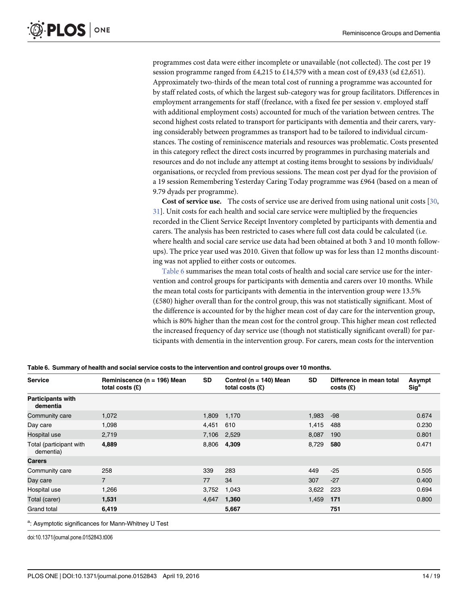<span id="page-13-0"></span>programmes cost data were either incomplete or unavailable (not collected). The cost per 19 session programme ranged from £4,215 to £14,579 with a mean cost of £9,433 (sd £2,651). Approximately two-thirds of the mean total cost of running a programme was accounted for by staff related costs, of which the largest sub-category was for group facilitators. Differences in employment arrangements for staff (freelance, with a fixed fee per session v. employed staff with additional employment costs) accounted for much of the variation between centres. The second highest costs related to transport for participants with dementia and their carers, varying considerably between programmes as transport had to be tailored to individual circumstances. The costing of reminiscence materials and resources was problematic. Costs presented in this category reflect the direct costs incurred by programmes in purchasing materials and resources and do not include any attempt at costing items brought to sessions by individuals/ organisations, or recycled from previous sessions. The mean cost per dyad for the provision of a 19 session Remembering Yesterday Caring Today programme was £964 (based on a mean of 9.79 dyads per programme).

**Cost of service use.** The costs of service use are derived from using national unit costs  $[30, 10]$  $[30, 10]$ [31\]](#page-18-0). Unit costs for each health and social care service were multiplied by the frequencies recorded in the Client Service Receipt Inventory completed by participants with dementia and carers. The analysis has been restricted to cases where full cost data could be calculated (i.e. where health and social care service use data had been obtained at both 3 and 10 month followups). The price year used was 2010. Given that follow up was for less than 12 months discounting was not applied to either costs or outcomes.

Table 6 summarises the mean total costs of health and social care service use for the intervention and control groups for participants with dementia and carers over 10 months. While the mean total costs for participants with dementia in the intervention group were 13.5% (£580) higher overall than for the control group, this was not statistically significant. Most of the difference is accounted for by the higher mean cost of day care for the intervention group, which is 80% higher than the mean cost for the control group. This higher mean cost reflected the increased frequency of day service use (though not statistically significant overall) for participants with dementia in the intervention group. For carers, mean costs for the intervention

| <b>Service</b>                       | Reminiscence (n = 196) Mean<br>total costs $(E)$ | <b>SD</b> | Control ( $n = 140$ ) Mean<br>total costs $(E)$ | <b>SD</b> | Difference in mean total<br>costs(E) | Asympt<br>Sig <sup>a</sup> |
|--------------------------------------|--------------------------------------------------|-----------|-------------------------------------------------|-----------|--------------------------------------|----------------------------|
| <b>Participants with</b><br>dementia |                                                  |           |                                                 |           |                                      |                            |
| Community care                       | 1,072                                            | 1,809     | 1,170                                           | 1,983     | -98                                  | 0.674                      |
| Day care                             | 1,098                                            | 4,451     | 610                                             | 1,415     | 488                                  | 0.230                      |
| Hospital use                         | 2,719                                            |           | 7,106 2,529                                     | 8,087     | 190                                  | 0.801                      |
| Total (participant with<br>dementia) | 4,889                                            |           | 8,806 4,309                                     | 8,729     | 580                                  | 0.471                      |
| <b>Carers</b>                        |                                                  |           |                                                 |           |                                      |                            |
| Community care                       | 258                                              | 339       | 283                                             | 449       | $-25$                                | 0.505                      |
| Day care                             | $\overline{7}$                                   | 77        | 34                                              | 307       | $-27$                                | 0.400                      |
| Hospital use                         | 1,266                                            | 3,752     | 1,043                                           | 3,622     | 223                                  | 0.694                      |
| Total (carer)                        | 1,531                                            | 4,647     | 1,360                                           | 1,459     | 171                                  | 0.800                      |
| Grand total                          | 6,419                                            |           | 5,667                                           |           | 751                                  |                            |

Table 6. Summary of health and social service costs to the intervention and control groups over 10 months.

<sup>a</sup>: Asymptotic significances for Mann-Whitney U Test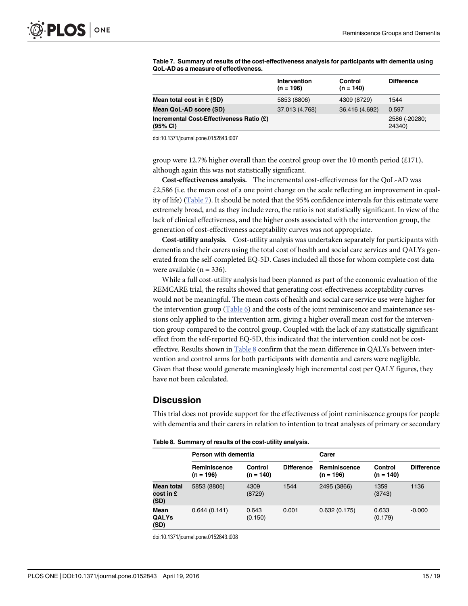|                                                      | Intervention<br>$(n = 196)$ | Control<br>$(n = 140)$ | <b>Difference</b>       |
|------------------------------------------------------|-----------------------------|------------------------|-------------------------|
| Mean total cost in $E(SD)$                           | 5853 (8806)                 | 4309 (8729)            | 1544                    |
| Mean QoL-AD score (SD)                               | 37.013 (4.768)              | 36.416 (4.692)         | 0.597                   |
| Incremental Cost-Effectiveness Ratio (£)<br>(95% CI) |                             |                        | 2586 (-20280;<br>24340) |

Table 7. Summary of results of the cost-effectiveness analysis for participants with dementia using QoL-AD as a measure of effectiveness.

doi:10.1371/journal.pone.0152843.t007

group were 12.7% higher overall than the control group over the 10 month period (£171), although again this was not statistically significant.

Cost-effectiveness analysis. The incremental cost-effectiveness for the QoL-AD was  $£2,586$  (i.e. the mean cost of a one point change on the scale reflecting an improvement in quality of life) (Table 7). It should be noted that the 95% confidence intervals for this estimate were extremely broad, and as they include zero, the ratio is not statistically significant. In view of the lack of clinical effectiveness, and the higher costs associated with the intervention group, the generation of cost-effectiveness acceptability curves was not appropriate.

Cost-utility analysis. Cost-utility analysis was undertaken separately for participants with dementia and their carers using the total cost of health and social care services and QALYs generated from the self-completed EQ-5D. Cases included all those for whom complete cost data were available ( $n = 336$ ).

While a full cost-utility analysis had been planned as part of the economic evaluation of the REMCARE trial, the results showed that generating cost-effectiveness acceptability curves would not be meaningful. The mean costs of health and social care service use were higher for the intervention group (Table  $6$ ) and the costs of the joint reminiscence and maintenance sessions only applied to the intervention arm, giving a higher overall mean cost for the intervention group compared to the control group. Coupled with the lack of any statistically significant effect from the self-reported EQ-5D, this indicated that the intervention could not be costeffective. Results shown in Table 8 confirm that the mean difference in QALYs between intervention and control arms for both participants with dementia and carers were negligible. Given that these would generate meaninglessly high incremental cost per QALY figures, they have not been calculated.

#### **Discussion**

This trial does not provide support for the effectiveness of joint reminiscence groups for people with dementia and their carers in relation to intention to treat analyses of primary or secondary

|  |  |  |  | Table 8. Summary of results of the cost-utility analysis. |  |
|--|--|--|--|-----------------------------------------------------------|--|
|--|--|--|--|-----------------------------------------------------------|--|

|                                 | Person with dementia               |                        |                   | Carer                       |                        |                   |
|---------------------------------|------------------------------------|------------------------|-------------------|-----------------------------|------------------------|-------------------|
|                                 | <b>Reminiscence</b><br>$(n = 196)$ | Control<br>$(n = 140)$ | <b>Difference</b> | Reminiscence<br>$(n = 196)$ | Control<br>$(n = 140)$ | <b>Difference</b> |
| Mean total<br>cost in £<br>(SD) | 5853 (8806)                        | 4309<br>(8729)         | 1544              | 2495 (3866)                 | 1359<br>(3743)         | 1136              |
| Mean<br><b>QALYs</b><br>(SD)    | 0.644(0.141)                       | 0.643<br>(0.150)       | 0.001             | 0.632(0.175)                | 0.633<br>(0.179)       | $-0.000$          |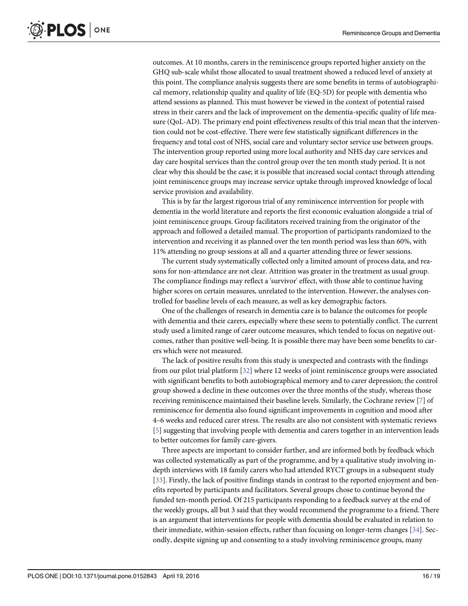<span id="page-15-0"></span>outcomes. At 10 months, carers in the reminiscence groups reported higher anxiety on the GHQ sub-scale whilst those allocated to usual treatment showed a reduced level of anxiety at this point. The compliance analysis suggests there are some benefits in terms of autobiographical memory, relationship quality and quality of life (EQ-5D) for people with dementia who attend sessions as planned. This must however be viewed in the context of potential raised stress in their carers and the lack of improvement on the dementia-specific quality of life measure (QoL-AD). The primary end point effectiveness results of this trial mean that the intervention could not be cost-effective. There were few statistically significant differences in the frequency and total cost of NHS, social care and voluntary sector service use between groups. The intervention group reported using more local authority and NHS day care services and day care hospital services than the control group over the ten month study period. It is not clear why this should be the case; it is possible that increased social contact through attending joint reminiscence groups may increase service uptake through improved knowledge of local service provision and availability.

This is by far the largest rigorous trial of any reminiscence intervention for people with dementia in the world literature and reports the first economic evaluation alongside a trial of joint reminiscence groups. Group facilitators received training from the originator of the approach and followed a detailed manual. The proportion of participants randomized to the intervention and receiving it as planned over the ten month period was less than 60%, with 11% attending no group sessions at all and a quarter attending three or fewer sessions.

The current study systematically collected only a limited amount of process data, and reasons for non-attendance are not clear. Attrition was greater in the treatment as usual group. The compliance findings may reflect a 'survivor' effect, with those able to continue having higher scores on certain measures, unrelated to the intervention. However, the analyses controlled for baseline levels of each measure, as well as key demographic factors.

One of the challenges of research in dementia care is to balance the outcomes for people with dementia and their carers, especially where these seem to potentially conflict. The current study used a limited range of carer outcome measures, which tended to focus on negative outcomes, rather than positive well-being. It is possible there may have been some benefits to carers which were not measured.

The lack of positive results from this study is unexpected and contrasts with the findings from our pilot trial platform [\[32\]](#page-18-0) where 12 weeks of joint reminiscence groups were associated with significant benefits to both autobiographical memory and to carer depression; the control group showed a decline in these outcomes over the three months of the study, whereas those receiving reminiscence maintained their baseline levels. Similarly, the Cochrane review [[7](#page-17-0)] of reminiscence for dementia also found significant improvements in cognition and mood after 4–6 weeks and reduced carer stress. The results are also not consistent with systematic reviews [\[5](#page-17-0)] suggesting that involving people with dementia and carers together in an intervention leads to better outcomes for family care-givers.

Three aspects are important to consider further, and are informed both by feedback which was collected systematically as part of the programme, and by a qualitative study involving indepth interviews with 18 family carers who had attended RYCT groups in a subsequent study [\[33](#page-18-0)]. Firstly, the lack of positive findings stands in contrast to the reported enjoyment and benefits reported by participants and facilitators. Several groups chose to continue beyond the funded ten-month period. Of 215 participants responding to a feedback survey at the end of the weekly groups, all but 3 said that they would recommend the programme to a friend. There is an argument that interventions for people with dementia should be evaluated in relation to their immediate, within-session effects, rather than focusing on longer-term changes [\[34\]](#page-18-0). Secondly, despite signing up and consenting to a study involving reminiscence groups, many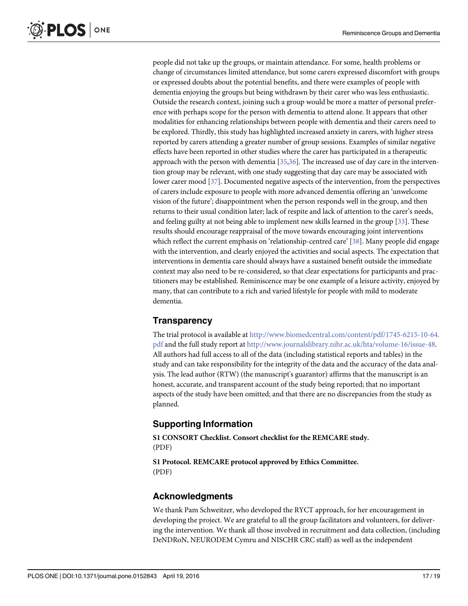<span id="page-16-0"></span>people did not take up the groups, or maintain attendance. For some, health problems or change of circumstances limited attendance, but some carers expressed discomfort with groups or expressed doubts about the potential benefits, and there were examples of people with dementia enjoying the groups but being withdrawn by their carer who was less enthusiastic. Outside the research context, joining such a group would be more a matter of personal preference with perhaps scope for the person with dementia to attend alone. It appears that other modalities for enhancing relationships between people with dementia and their carers need to be explored. Thirdly, this study has highlighted increased anxiety in carers, with higher stress reported by carers attending a greater number of group sessions. Examples of similar negative effects have been reported in other studies where the carer has participated in a therapeutic approach with the person with dementia [\[35,36\]](#page-18-0). The increased use of day care in the intervention group may be relevant, with one study suggesting that day care may be associated with lower carer mood [[37](#page-18-0)]. Documented negative aspects of the intervention, from the perspectives of carers include exposure to people with more advanced dementia offering an 'unwelcome vision of the future'; disappointment when the person responds well in the group, and then returns to their usual condition later; lack of respite and lack of attention to the carer's needs, and feeling guilty at not being able to implement new skills learned in the group [\[33\]](#page-18-0). These results should encourage reappraisal of the move towards encouraging joint interventions which reflect the current emphasis on 'relationship-centred care' [[38](#page-18-0)]. Many people did engage with the intervention, and clearly enjoyed the activities and social aspects. The expectation that interventions in dementia care should always have a sustained benefit outside the immediate context may also need to be re-considered, so that clear expectations for participants and practitioners may be established. Reminiscence may be one example of a leisure activity, enjoyed by many, that can contribute to a rich and varied lifestyle for people with mild to moderate dementia.

#### **Transparency**

The trial protocol is available at [http://www.biomedcentral.com/content/pdf/1745-6215-10-64.](http://www.biomedcentral.com/content/pdf/1745-6215-10-64.pdf) [pdf](http://www.biomedcentral.com/content/pdf/1745-6215-10-64.pdf) and the full study report at <http://www.journalslibrary.nihr.ac.uk/hta/volume-16/issue-48>. All authors had full access to all of the data (including statistical reports and tables) in the study and can take responsibility for the integrity of the data and the accuracy of the data analysis. The lead author (RTW) (the manuscript's guarantor) affirms that the manuscript is an honest, accurate, and transparent account of the study being reported; that no important aspects of the study have been omitted; and that there are no discrepancies from the study as planned.

#### Supporting Information

[S1 CONSORT Checklist.](http://www.plosone.org/article/fetchSingleRepresentation.action?uri=info:doi/10.1371/journal.pone.0152843.s001) Consort checklist for the REMCARE study. (PDF)

[S1 Protocol.](http://www.plosone.org/article/fetchSingleRepresentation.action?uri=info:doi/10.1371/journal.pone.0152843.s002) REMCARE protocol approved by Ethics Committee. (PDF)

#### Acknowledgments

We thank Pam Schweitzer, who developed the RYCT approach, for her encouragement in developing the project. We are grateful to all the group facilitators and volunteers, for delivering the intervention. We thank all those involved in recruitment and data collection, (including DeNDRoN, NEURODEM Cymru and NISCHR CRC staff) as well as the independent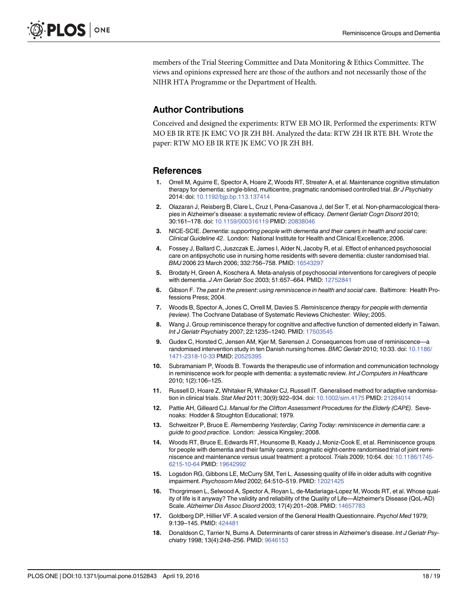<span id="page-17-0"></span>members of the Trial Steering Committee and Data Monitoring & Ethics Committee. The views and opinions expressed here are those of the authors and not necessarily those of the NIHR HTA Programme or the Department of Health.

#### Author Contributions

Conceived and designed the experiments: RTW EB MO IR. Performed the experiments: RTW MO EB IR RTE JK EMC VO JR ZH BH. Analyzed the data: RTW ZH IR RTE BH. Wrote the paper: RTW MO EB IR RTE JK EMC VO JR ZH BH.

#### **References**

- [1.](#page-1-0) Orrell M, Aguirre E, Spector A, Hoare Z, Woods RT, Streater A, et al. Maintenance cognitive stimulation therapy for dementia: single-blind, multicentre, pragmatic randomised controlled trial. Br J Psychiatry 2014: doi: [10.1192/bjp.bp.113.137414](http://dx.doi.org/10.1192/bjp.bp.113.137414)
- [2.](#page-1-0) Olazaran J, Reisberg B, Clare L, Cruz I, Pena-Casanova J, del Ser T, et al. Non-pharmacological therapies in Alzheimer's disease: a systematic review of efficacy. Dement Geriatr Cogn Disord 2010; 30:161–178. doi: [10.1159/000316119](http://dx.doi.org/10.1159/000316119) PMID: [20838046](http://www.ncbi.nlm.nih.gov/pubmed/20838046)
- [3.](#page-1-0) NICE-SCIE. Dementia: supporting people with dementia and their carers in health and social care: Clinical Guideline 42. London: National Institute for Health and Clinical Excellence; 2006.
- [4.](#page-1-0) Fossey J, Ballard C, Juszczak E, James I, Alder N, Jacoby R, et al. Effect of enhanced psychosocial care on antipsychotic use in nursing home residents with severe dementia: cluster randomised trial. BMJ 2006 23 March 2006; 332:756–758. PMID: [16543297](http://www.ncbi.nlm.nih.gov/pubmed/16543297)
- [5.](#page-1-0) Brodaty H, Green A, Koschera A. Meta-analysis of psychosocial interventions for caregivers of people with dementia. J Am Geriatr Soc 2003; 51:657–664. PMID: [12752841](http://www.ncbi.nlm.nih.gov/pubmed/12752841)
- [6.](#page-1-0) Gibson F. The past in the present: using reminiscence in health and social care. Baltimore: Health Professions Press; 2004.
- [7.](#page-2-0) Woods B, Spector A, Jones C, Orrell M, Davies S. Reminiscence therapy for people with dementia (review). The Cochrane Database of Systematic Reviews Chichester: Wiley; 2005.
- [8.](#page-2-0) Wang J. Group reminiscence therapy for cognitive and affective function of demented elderly in Taiwan. Int J Geriatr Psychiatry 2007; 22:1235–1240. PMID: [17503545](http://www.ncbi.nlm.nih.gov/pubmed/17503545)
- 9. Gudex C, Horsted C, Jensen AM, Kjer M, Sørensen J. Consequences from use of reminiscence—a randomised intervention study in ten Danish nursing homes. BMC Geriatr 2010; 10:33. doi: [10.1186/](http://dx.doi.org/10.1186/1471-2318-10-33) [1471-2318-10-33](http://dx.doi.org/10.1186/1471-2318-10-33) PMID: [20525395](http://www.ncbi.nlm.nih.gov/pubmed/20525395)
- [10.](#page-2-0) Subramaniam P, Woods B. Towards the therapeutic use of information and communication technology in reminiscence work for people with dementia: a systematic review. Int J Computers in Healthcare 2010; 1(2):106–125.
- [11.](#page-2-0) Russell D, Hoare Z, Whitaker R, Whitaker CJ, Russell IT. Generalised method for adaptive randomisa-tion in clinical trials. Stat Med 2011; 30(9):922-934. doi: [10.1002/sim.4175](http://dx.doi.org/10.1002/sim.4175) PMID: [21284014](http://www.ncbi.nlm.nih.gov/pubmed/21284014)
- [12.](#page-3-0) Pattie AH, Gilleard CJ. Manual for the Clifton Assessment Procedures for the Elderly (CAPE). Sevenoaks: Hodder & Stoughton Educational; 1979.
- [13.](#page-4-0) Schweitzer P, Bruce E. Remembering Yesterday, Caring Today: reminiscence in dementia care: a guide to good practice. London: Jessica Kingsley; 2008.
- [14.](#page-4-0) Woods RT, Bruce E, Edwards RT, Hounsome B, Keady J, Moniz-Cook E, et al. Reminiscence groups for people with dementia and their family carers: pragmatic eight-centre randomised trial of joint reminiscence and maintenance versus usual treatment: a protocol. Trials 2009; 10:64. doi: [10.1186/1745-](http://dx.doi.org/10.1186/1745-6215-10-64) [6215-10-64](http://dx.doi.org/10.1186/1745-6215-10-64) PMID: [19642992](http://www.ncbi.nlm.nih.gov/pubmed/19642992)
- [15.](#page-4-0) Logsdon RG, Gibbons LE, McCurry SM, Teri L. Assessing quality of life in older adults with cognitive impairment. Psychosom Med 2002; 64:510-519. PMID: [12021425](http://www.ncbi.nlm.nih.gov/pubmed/12021425)
- [16.](#page-4-0) Thorgrimsen L, Selwood A, Spector A, Royan L, de-Madariaga-Lopez M, Woods RT, et al. Whose quality of life is it anyway? The validity and reliability of the Quality of Life—Alzheimer's Disease (QoL-AD) Scale. Alzheimer Dis Assoc Disord 2003; 17(4):201–208. PMID: [14657783](http://www.ncbi.nlm.nih.gov/pubmed/14657783)
- [17.](#page-4-0) Goldberg DP, Hillier VF. A scaled version of the General Health Questionnaire. Psychol Med 1979; 9:139–145. PMID: [424481](http://www.ncbi.nlm.nih.gov/pubmed/424481)
- [18.](#page-4-0) Donaldson C, Tarrier N, Burns A. Determinants of carer stress in Alzheimer's disease. Int J Geriatr Psy-chiatry 1998; 13(4):248-256. PMID: [9646153](http://www.ncbi.nlm.nih.gov/pubmed/9646153)